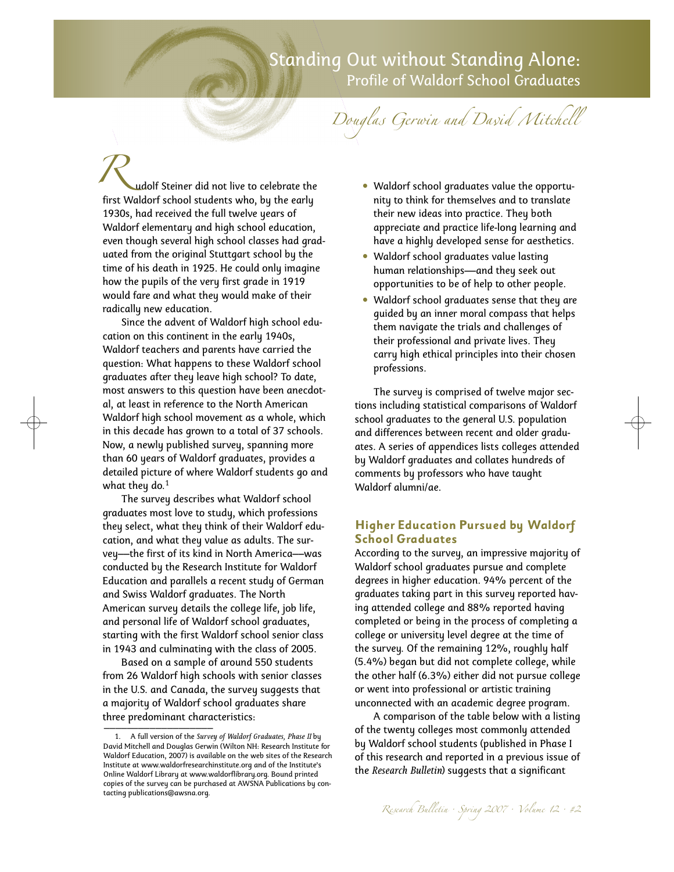# Standing Out without Standing Alone: Profile of Waldorf School Graduates

Douglas Gerwin and David Mitchell

udolf Steiner did not live to celebrate the **first Waldorf Steiner did not live to celebrate the first Waldorf school students who, by the early** 1930s, had received the full twelve years of Waldorf elementary and high school education, even though several high school classes had graduated from the original Stuttgart school by the time of his death in 1925. He could only imagine how the pupils of the very first grade in 1919 would fare and what they would make of their radically new education.

Since the advent of Waldorf high school education on this continent in the early 1940s, Waldorf teachers and parents have carried the question: What happens to these Waldorf school graduates after they leave high school? To date, most answers to this question have been anecdotal, at least in reference to the North American Waldorf high school movement as a whole, which in this decade has grown to a total of 37 schools. Now, a newly published survey, spanning more than 60 years of Waldorf graduates, provides a detailed picture of where Waldorf students go and what they do. $^{\rm 1}$ 

The survey describes what Waldorf school graduates most love to study, which professions they select, what they think of their Waldorf education, and what they value as adults. The survey––the first of its kind in North America––was conducted by the Research Institute for Waldorf Education and parallels a recent study of German and Swiss Waldorf graduates. The North American survey details the college life, job life, and personal life of Waldorf school graduates, starting with the first Waldorf school senior class in 1943 and culminating with the class of 2005.

Based on a sample of around 550 students from 26 Waldorf high schools with senior classes in the U.S. and Canada, the survey suggests that a majority of Waldorf school graduates share three predominant characteristics: \_\_\_\_\_\_\_\_\_\_\_\_\_\_\_\_\_\_\_

- Waldorf school graduates value the opportunity to think for themselves and to translate their new ideas into practice. They both appreciate and practice life-long learning and have a highly developed sense for aesthetics.
- Waldorf school graduates value lasting human relationships—and they seek out opportunities to be of help to other people.
- Waldorf school graduates sense that they are guided by an inner moral compass that helps them navigate the trials and challenges of their professional and private lives. They carry high ethical principles into their chosen professions.

The survey is comprised of twelve major sections including statistical comparisons of Waldorf school graduates to the general U.S. population and differences between recent and older graduates. A series of appendices lists colleges attended by Waldorf graduates and collates hundreds of comments by professors who have taught Waldorf alumni/ae.

### **Higher Education Pursued by Waldorf School Graduates**

According to the survey, an impressive majority of Waldorf school graduates pursue and complete degrees in higher education. 94% percent of the graduates taking part in this survey reported having attended college and 88% reported having completed or being in the process of completing a college or university level degree at the time of the survey. Of the remaining 12%, roughly half (5.4%) began but did not complete college, while the other half (6.3%) either did not pursue college or went into professional or artistic training unconnected with an academic degree program.

A comparison of the table below with a listing of the twenty colleges most commonly attended by Waldorf school students (published in Phase I of this research and reported in a previous issue of the *Research Bulletin*) suggests that a significant

<sup>1.</sup> A full version of the *Survey of Waldorf Graduates, Phase II* by David Mitchell and Douglas Gerwin (Wilton NH: Research Institute for Waldorf Education, 2007) is available on the web sites of the Research Institute at www.waldorfresearchinstitute.org and of the Institute's Online Waldorf Library at www.waldorflibrary.org. Bound printed copies of the survey can be purchased at AWSNA Publications by contacting publications@awsna.org.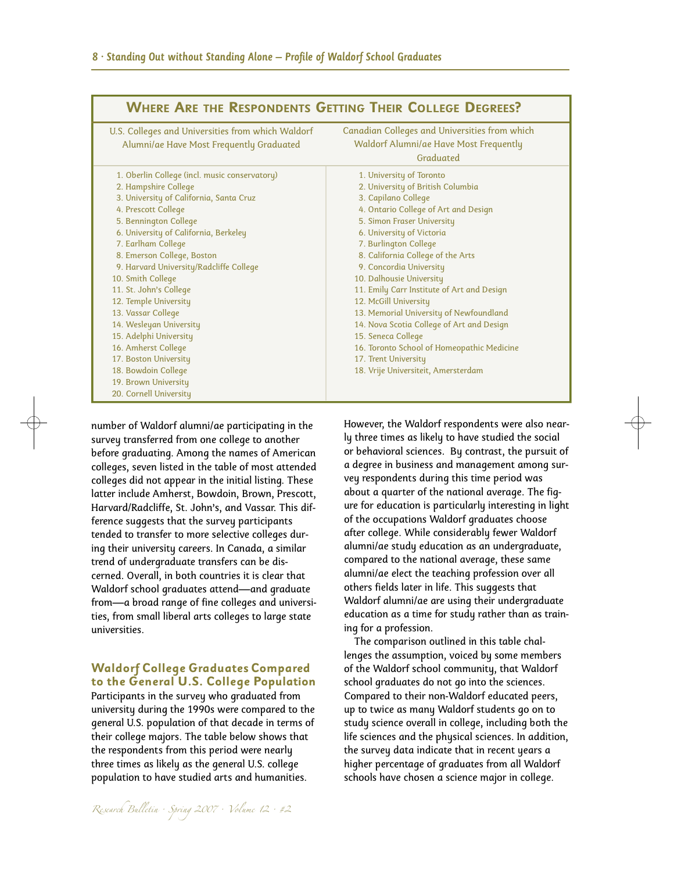| <b>WHERE ARE THE RESPONDENTS GETTING THEIR COLLEGE DEGREES?</b> |                                               |  |  |  |
|-----------------------------------------------------------------|-----------------------------------------------|--|--|--|
| U.S. Colleges and Universities from which Waldorf               | Canadian Colleges and Universities from which |  |  |  |
| Alumni/ae Have Most Frequently Graduated                        | <b>Waldorf Alumni/ae Have Most Frequently</b> |  |  |  |
|                                                                 | Graduated                                     |  |  |  |
| 1. Oberlin College (incl. music conservatory)                   | 1. University of Toronto                      |  |  |  |
| 2. Hampshire College                                            | 2. University of British Columbia             |  |  |  |
| 3. University of California, Santa Cruz                         | 3. Capilano College                           |  |  |  |
| 4. Prescott College                                             | 4. Ontario College of Art and Design          |  |  |  |
| 5. Bennington College                                           | 5. Simon Fraser University                    |  |  |  |
| 6. University of California, Berkeley                           | 6. University of Victoria                     |  |  |  |
| 7. Earlham College                                              | 7. Burlington College                         |  |  |  |
| 8. Emerson College, Boston                                      | 8. California College of the Arts             |  |  |  |
| 9. Harvard University/Radcliffe College                         | 9. Concordia University                       |  |  |  |
| 10. Smith College                                               | 10. Dalhousie University                      |  |  |  |
| 11. St. John's College                                          | 11. Emily Carr Institute of Art and Design    |  |  |  |
| 12. Temple University                                           | 12. McGill University                         |  |  |  |
| 13. Vassar College                                              | 13. Memorial University of Newfoundland       |  |  |  |
| 14. Wesleyan University                                         | 14. Nova Scotia College of Art and Design     |  |  |  |
| 15. Adelphi University                                          | 15. Seneca College                            |  |  |  |
| 16. Amherst College                                             | 16. Toronto School of Homeopathic Medicine    |  |  |  |
| 17. Boston University                                           | 17. Trent University                          |  |  |  |
| 18. Bowdoin College                                             | 18. Vrije Universiteit, Amersterdam           |  |  |  |
| 19. Brown University                                            |                                               |  |  |  |
| 20. Cornell University                                          |                                               |  |  |  |

number of Waldorf alumni/ae participating in the survey transferred from one college to another before graduating. Among the names of American colleges, seven listed in the table of most attended colleges did not appear in the initial listing. These latter include Amherst, Bowdoin, Brown, Prescott, Harvard/Radcliffe, St. John's, and Vassar. This difference suggests that the survey participants tended to transfer to more selective colleges during their university careers. In Canada, a similar trend of undergraduate transfers can be discerned. Overall, in both countries it is clear that Waldorf school graduates attend—and graduate from—a broad range of fine colleges and universities, from small liberal arts colleges to large state universities.

#### **Waldorf College Graduates Compared to the General U.S. College Population**

Participants in the survey who graduated from university during the 1990s were compared to the general U.S. population of that decade in terms of their college majors. The table below shows that the respondents from this period were nearly three times as likely as the general U.S. college population to have studied arts and humanities.

However, the Waldorf respondents were also nearly three times as likely to have studied the social or behavioral sciences. By contrast, the pursuit of a degree in business and management among survey respondents during this time period was about a quarter of the national average. The figure for education is particularly interesting in light of the occupations Waldorf graduates choose after college. While considerably fewer Waldorf alumni/ae study education as an undergraduate, compared to the national average, these same alumni/ae elect the teaching profession over all others fields later in life. This suggests that Waldorf alumni/ae are using their undergraduate education as a time for study rather than as training for a profession.

The comparison outlined in this table challenges the assumption, voiced by some members of the Waldorf school community, that Waldorf school graduates do not go into the sciences. Compared to their non-Waldorf educated peers, up to twice as many Waldorf students go on to study science overall in college, including both the life sciences and the physical sciences. In addition, the survey data indicate that in recent years a higher percentage of graduates from all Waldorf schools have chosen a science major in college.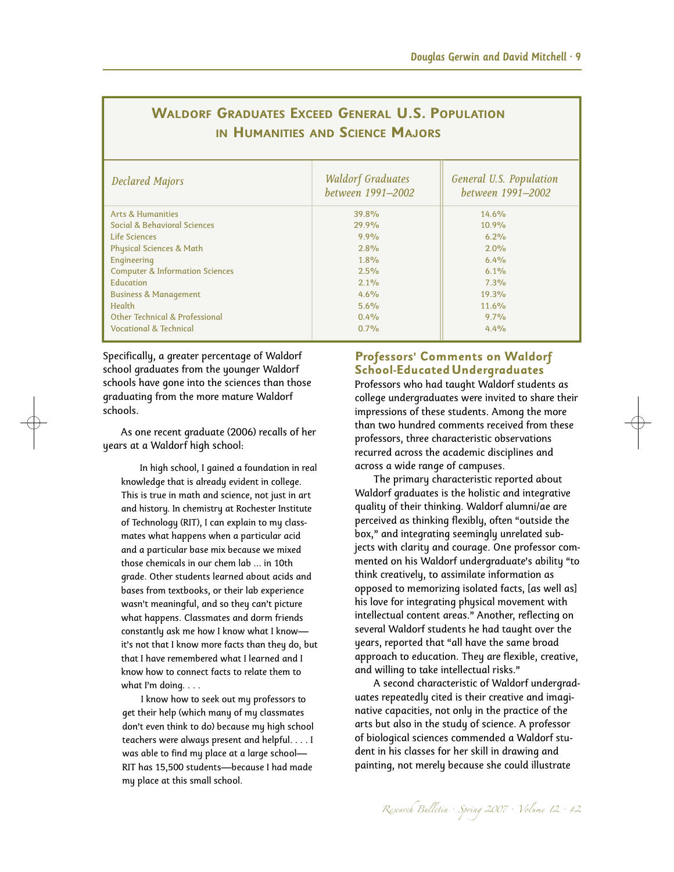| <b>Declared Majors</b>                     | <b>Waldorf Graduates</b><br>between 1991-2002 | <b>General U.S. Population</b><br>between 1991-2002 |
|--------------------------------------------|-----------------------------------------------|-----------------------------------------------------|
| <b>Arts &amp; Humanities</b>               | 39.8%                                         | 14.6%                                               |
| Social & Behavioral Sciences               | 29.9%                                         | 10.9%                                               |
| Life Sciences                              | 9.9%                                          | 6.2%                                                |
| <b>Physical Sciences &amp; Math</b>        | 2.8%                                          | 2.0%                                                |
| Engineering                                | 1.8%                                          | 6.4%                                                |
| <b>Computer &amp; Information Sciences</b> | 2.5%                                          | 6.1%                                                |
| Education                                  | 2.1%                                          | 7.3%                                                |
| <b>Business &amp; Management</b>           | 4.6%                                          | 19.3%                                               |
| Health                                     | 5.6%                                          | 11.6%                                               |
| Other Technical & Professional             | $0.4\%$                                       | $9.7\%$                                             |
| Vocational & Technical                     | 0.7%                                          | 4.4%                                                |

# **WALDORF GRADUATES EXCEED GENERAL U.S. POPULATION IN HUMANITIES AND SCIENCE MAJORS**

Specifically, a greater percentage of Waldorf school graduates from the younger Waldorf schools have gone into the sciences than those graduating from the more mature Waldorf schools.

As one recent graduate (2006) recalls of her years at a Waldorf high school:

In high school, I gained a foundation in real knowledge that is already evident in college. This is true in math and science, not just in art and history. In chemistry at Rochester Institute of Technology (RIT), I can explain to my classmates what happens when a particular acid and a particular base mix because we mixed those chemicals in our chem lab ... in 10th grade. Other students learned about acids and bases from textbooks, or their lab experience wasn't meaningful, and so they can't picture what happens. Classmates and dorm friends constantly ask me how I know what I knowit's not that I know more facts than they do, but that I have remembered what I learned and I know how to connect facts to relate them to what I'm doing. . . .

I know how to seek out my professors to get their help (which many of my classmates don't even think to do) because my high school teachers were always present and helpful. . . . I was able to find my place at a large school— RIT has 15,500 students—because I had made my place at this small school.

## **Professors' Comments on Waldorf School-EducatedUndergraduates**

Professors who had taught Waldorf students as college undergraduates were invited to share their impressions of these students. Among the more than two hundred comments received from these professors, three characteristic observations recurred across the academic disciplines and across a wide range of campuses.

The primary characteristic reported about Waldorf graduates is the holistic and integrative quality of their thinking. Waldorf alumni/ae are perceived as thinking flexibly, often "outside the box," and integrating seemingly unrelated subjects with clarity and courage. One professor commented on his Waldorf undergraduate's ability "to think creatively, to assimilate information as opposed to memorizing isolated facts, [as well as] his love for integrating physical movement with intellectual content areas." Another, reflecting on several Waldorf students he had taught over the years, reported that "all have the same broad approach to education. They are flexible, creative, and willing to take intellectual risks."

A second characteristic of Waldorf undergraduates repeatedly cited is their creative and imaginative capacities, not only in the practice of the arts but also in the study of science. A professor of biological sciences commended a Waldorf student in his classes for her skill in drawing and painting, not merely because she could illustrate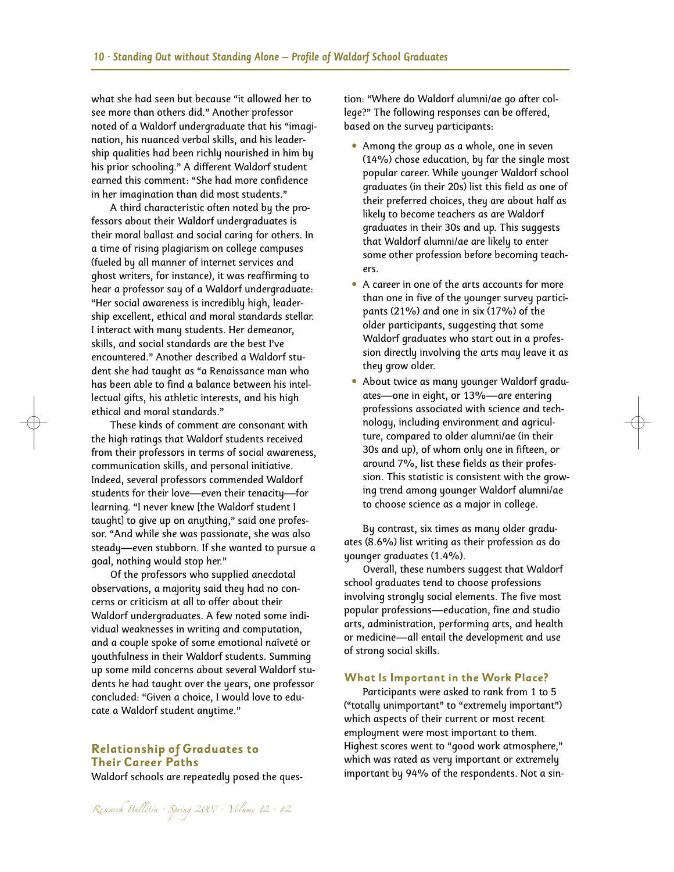what she had seen but because "it allowed her to see more than others did." Another professor noted of a Waldorf undergraduate that his "imagination, his nuanced verbal skills, and his leadership qualities had been richly nourished in him by his prior schooling." A different Waldorf student earned this comment: "She had more confidence in her imagination than did most students."

A third characteristic often noted by the professors about their Waldorf undergraduates is their moral ballast and social caring for others. In a time of rising plagiarism on college campuses (fueled by all manner of internet services and ghost writers, for instance), it was reaffirming to hear a professor say of a Waldorf undergraduate: "Her social awareness is incredibly high, leadership excellent, ethical and moral standards stellar. I interact with many students. Her demeanor, skills, and social standards are the best I've encountered." Another described a Waldorf student she had taught as "a Renaissance man who has been able to find a balance between his intellectual gifts, his athletic interests, and his high ethical and moral standards."

These kinds of comment are consonant with the high ratings that Waldorf students received from their professors in terms of social awareness, communication skills, and personal initiative. Indeed, several professors commended Waldorf students for their love––even their tenacity––for learning. "I never knew [the Waldorf student I taught] to give up on anything," said one professor. "And while she was passionate, she was also steady––even stubborn. If she wanted to pursue a goal, nothing would stop her."

Of the professors who supplied anecdotal observations, a majority said they had no concerns or criticism at all to offer about their Waldorf undergraduates. A few noted some individual weaknesses in writing and computation, and a couple spoke of some emotional naïveté or youthfulness in their Waldorf students. Summing up some mild concerns about several Waldorf students he had taught over the years, one professor concluded: "Given a choice, I would love to educate a Waldorf student anytime."

#### **Relationship of Graduates to Their Career Paths**

Waldorf schools are repeatedly posed the ques-

tion: "Where do Waldorf alumni/ae go after college?" The following responses can be offered, based on the survey participants:

- Among the group as a whole, one in seven (14%) chose education, by far the single most popular career. While younger Waldorf school graduates (in their 20s) list this field as one of their preferred choices, they are about half as likely to become teachers as are Waldorf graduates in their 30s and up. This suggests that Waldorf alumni/ae are likely to enter some other profession before becoming teachers.
- A career in one of the arts accounts for more than one in five of the younger survey participants (21%) and one in six (17%) of the older participants, suggesting that some Waldorf graduates who start out in a profession directly involving the arts may leave it as they grow older.
- About twice as many younger Waldorf graduates—one in eight, or 13%—are entering professions associated with science and technology, including environment and agriculture, compared to older alumni/ae (in their 30s and up), of whom only one in fifteen, or around 7%, list these fields as their profession. This statistic is consistent with the growing trend among younger Waldorf alumni/ae to choose science as a major in college.

By contrast, six times as many older graduates (8.6%) list writing as their profession as do younger graduates (1.4%).

Overall, these numbers suggest that Waldorf school graduates tend to choose professions involving strongly social elements. The five most popular professions—education, fine and studio arts, administration, performing arts, and health or medicine—all entail the development and use of strong social skills.

#### **What Is Important in the Work Place?**

Participants were asked to rank from 1 to 5 ("totally unimportant" to "extremely important") which aspects of their current or most recent employment were most important to them. Highest scores went to "good work atmosphere," which was rated as very important or extremely important by 94% of the respondents. Not a sin-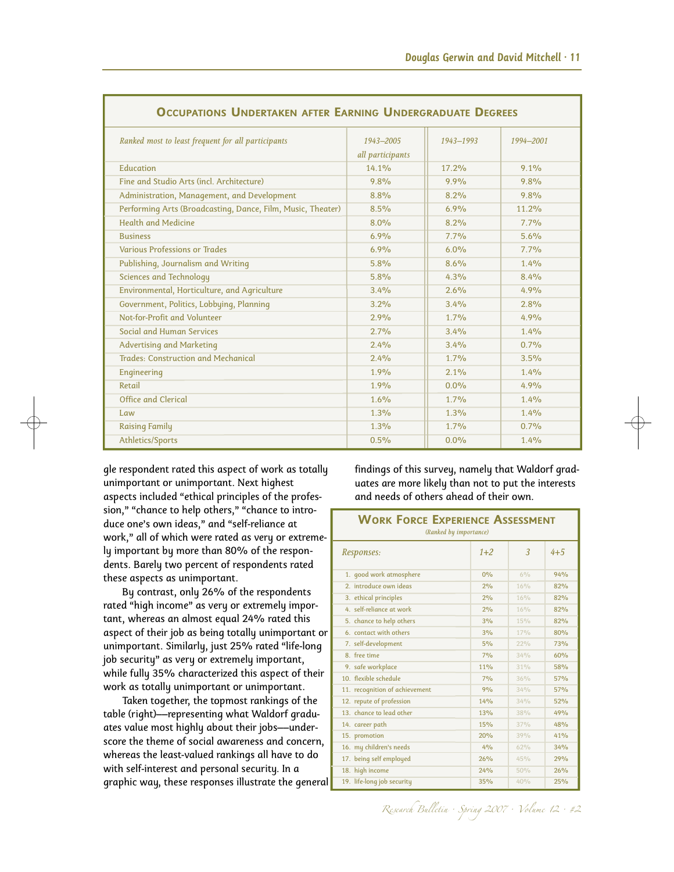| <b>OCCUPATIONS UNDERTAKEN AFTER EARNING UNDERGRADUATE DEGREES</b> |                               |           |           |  |  |  |
|-------------------------------------------------------------------|-------------------------------|-----------|-----------|--|--|--|
| Ranked most to least frequent for all participants                | 1943-2005<br>all participants | 1943-1993 | 1994-2001 |  |  |  |
| Education                                                         | 14.1%                         | 17.2%     | 9.1%      |  |  |  |
| Fine and Studio Arts (incl. Architecture)                         | 9.8%                          | 9.9%      | 9.8%      |  |  |  |
| Administration, Management, and Development                       | 8.8%                          | 8.2%      | 9.8%      |  |  |  |
| Performing Arts (Broadcasting, Dance, Film, Music, Theater)       | 8.5%                          | 6.9%      | 11.2%     |  |  |  |
| Health and Medicine                                               | 8.0%                          | 8.2%      | 7.7%      |  |  |  |
| <b>Business</b>                                                   | 6.9%                          | 7.7%      | 5.6%      |  |  |  |
| <b>Various Professions or Trades</b>                              | 6.9%                          | 6.0%      | 7.7%      |  |  |  |
| Publishing, Journalism and Writing                                | 5.8%                          | 8.6%      | 1.4%      |  |  |  |
| <b>Sciences and Technology</b>                                    | 5.8%                          | 4.3%      | 8.4%      |  |  |  |
| Environmental, Horticulture, and Agriculture                      | 3.4%                          | 2.6%      | 4.9%      |  |  |  |
| Government, Politics, Lobbying, Planning                          | 3.2%                          | 3.4%      | 2.8%      |  |  |  |
| Not-for-Profit and Volunteer                                      | 2.9%                          | 1.7%      | 4.9%      |  |  |  |
| Social and Human Services                                         | 2.7%                          | 3.4%      | 1.4%      |  |  |  |
| <b>Advertising and Marketing</b>                                  | 2.4%                          | 3.4%      | 0.7%      |  |  |  |
| <b>Trades: Construction and Mechanical</b>                        | 2.4%                          | 1.7%      | 3.5%      |  |  |  |
| Engineering                                                       | 1.9%                          | 2.1%      | 1.4%      |  |  |  |
| Retail                                                            | 1.9%                          | 0.0%      | 4.9%      |  |  |  |
| Office and Clerical                                               | 1.6%                          | 1.7%      | 1.4%      |  |  |  |
| Law                                                               | 1.3%                          | 1.3%      | 1.4%      |  |  |  |
| <b>Raising Family</b>                                             | 1.3%                          | 1.7%      | 0.7%      |  |  |  |
| Athletics/Sports                                                  | 0.5%                          | 0.0%      | 1.4%      |  |  |  |

gle respondent rated this aspect of work as totally unimportant or unimportant. Next highest aspects included "ethical principles of the profession," "chance to help others," "chance to introduce one's own ideas," and "self-reliance at work," all of which were rated as very or extremely important by more than 80% of the respondents. Barely two percent of respondents rated these aspects as unimportant.

By contrast, only 26% of the respondents rated "high income" as very or extremely important, whereas an almost equal 24% rated this aspect of their job as being totally unimportant or unimportant. Similarly, just 25% rated "life-long job security" as very or extremely important, while fully 35% characterized this aspect of their work as totally unimportant or unimportant.

Taken together, the topmost rankings of the table (right)––representing what Waldorf graduates value most highly about their jobs––underscore the theme of social awareness and concern, whereas the least-valued rankings all have to do with self-interest and personal security. In a graphic way, these responses illustrate the general findings of this survey, namely that Waldorf graduates are more likely than not to put the interests and needs of others ahead of their own.

| <b>WORK FORCE EXPERIENCE ASSESSMENT</b><br>(Ranked by importance) |                  |     |            |  |  |
|-------------------------------------------------------------------|------------------|-----|------------|--|--|
| Responses:                                                        | $1 + 2$          | 3   | $4 + 5$    |  |  |
| 1. good work atmosphere                                           | 0%               | 6%  | 94%        |  |  |
| 2. introduce own ideas                                            | 2%               | 16% | 82%        |  |  |
| 3. ethical principles                                             | 2%               | 16% | 82%        |  |  |
| 4. self-reliance at work                                          | 2%               | 16% | 82%        |  |  |
| 5. chance to help others                                          | 3%               | 15% | 82%        |  |  |
| 6. contact with others                                            | 3%               | 17% | 80%        |  |  |
| 7. self-development                                               | 5%               | 22% | <b>73%</b> |  |  |
| 8. free time                                                      | 7%               | 34% | 60%        |  |  |
| 9. safe workplace                                                 | 119 <sub>o</sub> | 31% | 58%        |  |  |
| 10. flexible schedule                                             | 7°/6             | 36% | 57%        |  |  |
| 11. recognition of achievement                                    | 9%               | 34% | 57%        |  |  |
| 12. repute of profession                                          | 14%              | 34% | 52%        |  |  |
| 13. chance to lead other                                          | 13%              | 38% | 49%        |  |  |
| 14. career path                                                   | 15%              | 37% | 48%        |  |  |
| 15. promotion                                                     | 20%              | 39% | 41%        |  |  |
| 16. my children's needs                                           | 4%               | 62% | 34%        |  |  |
| 17. being self employed                                           | 26%              | 45% | 29%        |  |  |
| 18. high income                                                   | 24%              | 50% | 26%        |  |  |
| 19. life-long job security                                        | 35%              | 40% | 25%        |  |  |

Research Bulletin · Spring 2007 · Volume 12 · #2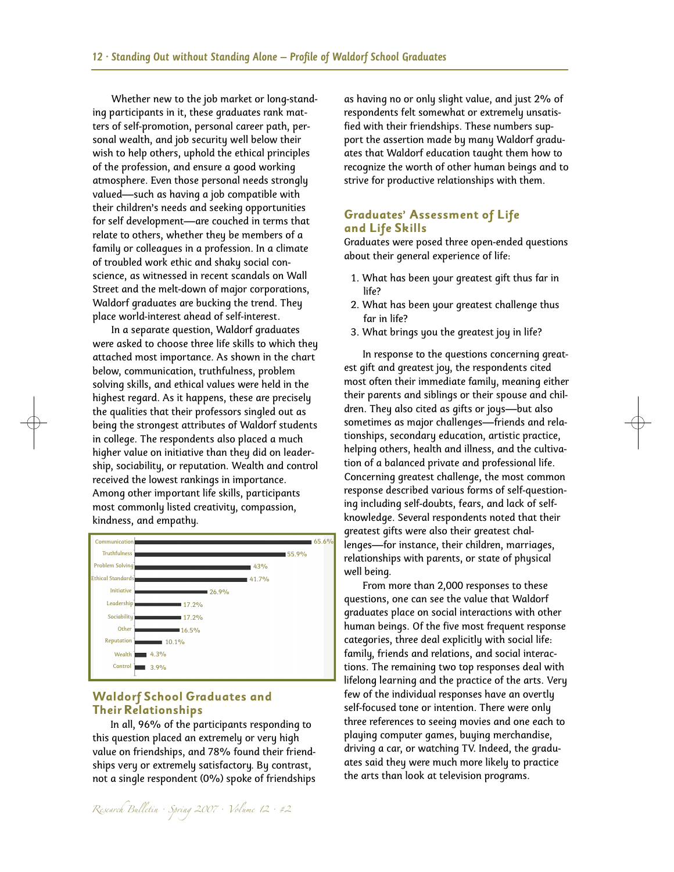Whether new to the job market or long-standing participants in it, these graduates rank matters of self-promotion, personal career path, personal wealth, and job security well below their wish to help others, uphold the ethical principles of the profession, and ensure a good working atmosphere. Even those personal needs strongly valued––such as having a job compatible with their children's needs and seeking opportunities for self development––are couched in terms that relate to others, whether they be members of a family or colleagues in a profession. In a climate of troubled work ethic and shaky social conscience, as witnessed in recent scandals on Wall Street and the melt-down of major corporations, Waldorf graduates are bucking the trend. They place world-interest ahead of self-interest.

In a separate question, Waldorf graduates were asked to choose three life skills to which they attached most importance. As shown in the chart below, communication, truthfulness, problem solving skills, and ethical values were held in the highest regard. As it happens, these are precisely the qualities that their professors singled out as being the strongest attributes of Waldorf students in college. The respondents also placed a much higher value on initiative than they did on leadership, sociability, or reputation. Wealth and control received the lowest rankings in importance. Among other important life skills, participants most commonly listed creativity, compassion, kindness, and empathy.



#### **Waldorf School Graduates and TheirRelationships**

In all, 96% of the participants responding to this question placed an extremely or very high value on friendships, and 78% found their friendships very or extremely satisfactory. By contrast, not a single respondent (0%) spoke of friendships as having no or only slight value, and just 2% of respondents felt somewhat or extremely unsatisfied with their friendships. These numbers support the assertion made by many Waldorf graduates that Waldorf education taught them how to recognize the worth of other human beings and to strive for productive relationships with them.

#### **Graduates' Assessment of Life and Life Skills**

Graduates were posed three open-ended questions about their general experience of life:

- 1. What has been your greatest gift thus far in life?
- 2. What has been your greatest challenge thus far in life?
- 3. What brings you the greatest joy in life?

In response to the questions concerning greatest gift and greatest joy, the respondents cited most often their immediate family, meaning either their parents and siblings or their spouse and children. They also cited as gifts or joys—but also sometimes as major challenges—friends and relationships, secondary education, artistic practice, helping others, health and illness, and the cultivation of a balanced private and professional life. Concerning greatest challenge, the most common response described various forms of self-questioning including self-doubts, fears, and lack of selfknowledge. Several respondents noted that their greatest gifts were also their greatest challenges—for instance, their children, marriages, relationships with parents, or state of physical well being.

From more than 2,000 responses to these questions, one can see the value that Waldorf graduates place on social interactions with other human beings. Of the five most frequent response categories, three deal explicitly with social life: family, friends and relations, and social interactions. The remaining two top responses deal with lifelong learning and the practice of the arts. Very few of the individual responses have an overtly self-focused tone or intention. There were only three references to seeing movies and one each to playing computer games, buying merchandise, driving a car, or watching TV. Indeed, the graduates said they were much more likely to practice the arts than look at television programs.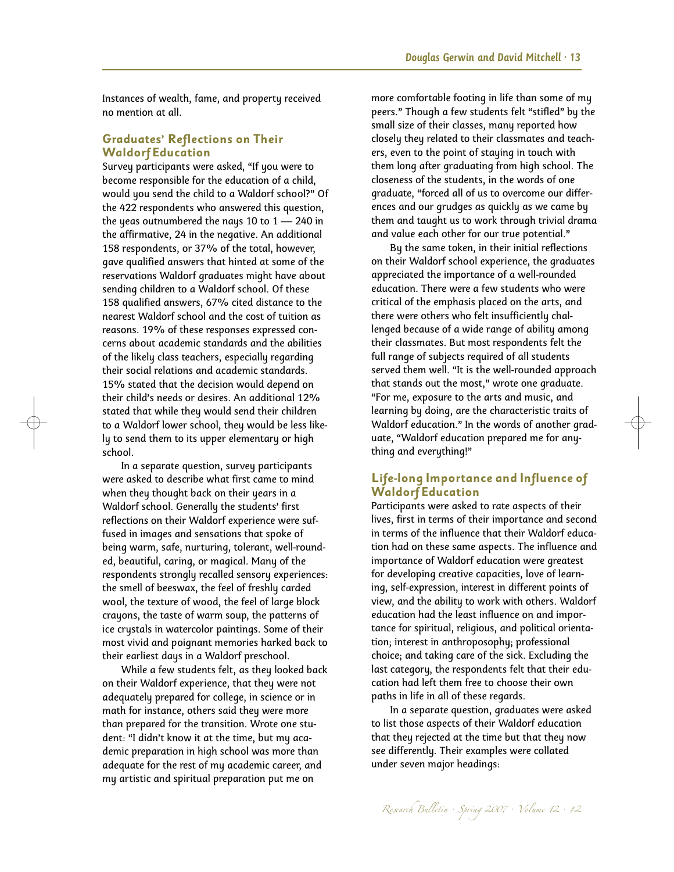Instances of wealth, fame, and property received no mention at all.

#### **Graduates' Reflections on Their Waldorf Education**

Survey participants were asked, "If you were to become responsible for the education of a child, would you send the child to a Waldorf school?" Of the 422 respondents who answered this question, the yeas outnumbered the nays 10 to  $1 - 240$  in the affirmative, 24 in the negative. An additional 158 respondents, or 37% of the total, however, gave qualified answers that hinted at some of the reservations Waldorf graduates might have about sending children to a Waldorf school. Of these 158 qualified answers, 67% cited distance to the nearest Waldorf school and the cost of tuition as reasons. 19% of these responses expressed concerns about academic standards and the abilities of the likely class teachers, especially regarding their social relations and academic standards. 15% stated that the decision would depend on their child's needs or desires. An additional 12% stated that while they would send their children to a Waldorf lower school, they would be less likely to send them to its upper elementary or high school.

In a separate question, survey participants were asked to describe what first came to mind when they thought back on their years in a Waldorf school. Generally the students' first reflections on their Waldorf experience were suffused in images and sensations that spoke of being warm, safe, nurturing, tolerant, well-rounded, beautiful, caring, or magical. Many of the respondents strongly recalled sensory experiences: the smell of beeswax, the feel of freshly carded wool, the texture of wood, the feel of large block crayons, the taste of warm soup, the patterns of ice crystals in watercolor paintings. Some of their most vivid and poignant memories harked back to their earliest days in a Waldorf preschool.

While a few students felt, as they looked back on their Waldorf experience, that they were not adequately prepared for college, in science or in math for instance, others said they were more than prepared for the transition. Wrote one student: "I didn't know it at the time, but my academic preparation in high school was more than adequate for the rest of my academic career, and my artistic and spiritual preparation put me on

more comfortable footing in life than some of my peers." Though a few students felt "stifled" by the small size of their classes, many reported how closely they related to their classmates and teachers, even to the point of staying in touch with them long after graduating from high school. The closeness of the students, in the words of one graduate, "forced all of us to overcome our differences and our grudges as quickly as we came by them and taught us to work through trivial drama and value each other for our true potential."

By the same token, in their initial reflections on their Waldorf school experience, the graduates appreciated the importance of a well-rounded education. There were a few students who were critical of the emphasis placed on the arts, and there were others who felt insufficiently challenged because of a wide range of ability among their classmates. But most respondents felt the full range of subjects required of all students served them well. "It is the well-rounded approach that stands out the most," wrote one graduate. "For me, exposure to the arts and music, and learning by doing, are the characteristic traits of Waldorf education." In the words of another graduate, "Waldorf education prepared me for anything and everything!"

### **Life-long Importance and Influence of Waldorf Education**

Participants were asked to rate aspects of their lives, first in terms of their importance and second in terms of the influence that their Waldorf education had on these same aspects. The influence and importance of Waldorf education were greatest for developing creative capacities, love of learning, self-expression, interest in different points of view, and the ability to work with others. Waldorf education had the least influence on and importance for spiritual, religious, and political orientation; interest in anthroposophy; professional choice; and taking care of the sick. Excluding the last category, the respondents felt that their education had left them free to choose their own paths in life in all of these regards.

In a separate question, graduates were asked to list those aspects of their Waldorf education that they rejected at the time but that they now see differently. Their examples were collated under seven major headings: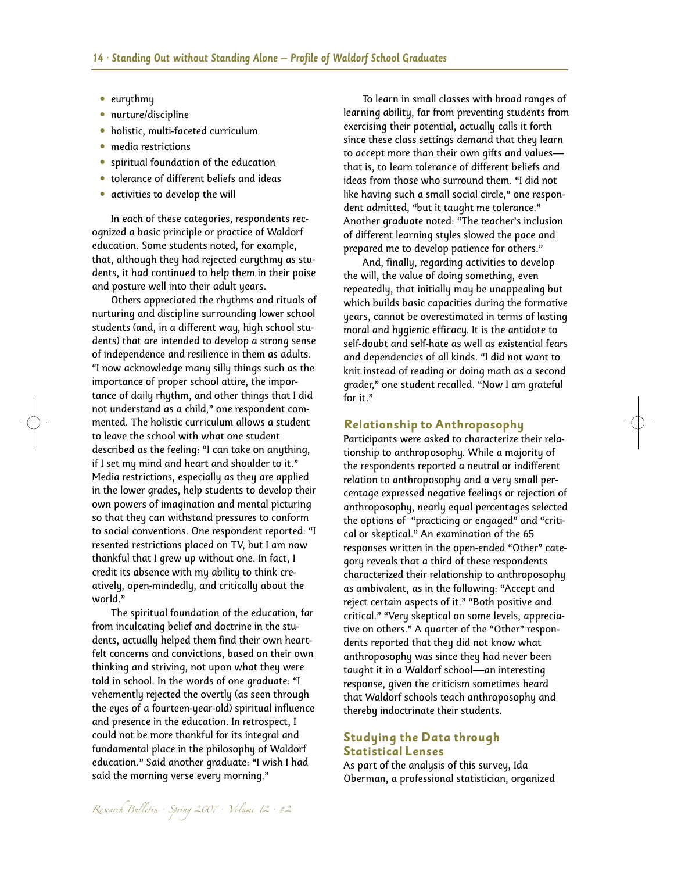- eurythmy
- nurture/discipline
- holistic, multi-faceted curriculum
- media restrictions
- spiritual foundation of the education
- tolerance of different beliefs and ideas
- activities to develop the will

In each of these categories, respondents recognized a basic principle or practice of Waldorf education. Some students noted, for example, that, although they had rejected eurythmy as students, it had continued to help them in their poise and posture well into their adult years.

Others appreciated the rhythms and rituals of nurturing and discipline surrounding lower school students (and, in a different way, high school students) that are intended to develop a strong sense of independence and resilience in them as adults. "I now acknowledge many silly things such as the importance of proper school attire, the importance of daily rhythm, and other things that I did not understand as a child," one respondent commented. The holistic curriculum allows a student to leave the school with what one student described as the feeling: "I can take on anything, if I set my mind and heart and shoulder to it." Media restrictions, especially as they are applied in the lower grades, help students to develop their own powers of imagination and mental picturing so that they can withstand pressures to conform to social conventions. One respondent reported: "I resented restrictions placed on TV, but I am now thankful that I grew up without one. In fact, I credit its absence with my ability to think creatively, open-mindedly, and critically about the world."

The spiritual foundation of the education, far from inculcating belief and doctrine in the students, actually helped them find their own heartfelt concerns and convictions, based on their own thinking and striving, not upon what they were told in school. In the words of one graduate: "I vehemently rejected the overtly (as seen through the eyes of a fourteen-year-old) spiritual influence and presence in the education. In retrospect, I could not be more thankful for its integral and fundamental place in the philosophy of Waldorf education." Said another graduate: "I wish I had said the morning verse every morning."

To learn in small classes with broad ranges of learning ability, far from preventing students from exercising their potential, actually calls it forth since these class settings demand that they learn to accept more than their own gifts and values that is, to learn tolerance of different beliefs and ideas from those who surround them. "I did not like having such a small social circle," one respondent admitted, "but it taught me tolerance." Another graduate noted: "The teacher's inclusion of different learning styles slowed the pace and prepared me to develop patience for others."

And, finally, regarding activities to develop the will, the value of doing something, even repeatedly, that initially may be unappealing but which builds basic capacities during the formative years, cannot be overestimated in terms of lasting moral and hygienic efficacy. It is the antidote to self-doubt and self-hate as well as existential fears and dependencies of all kinds. "I did not want to knit instead of reading or doing math as a second grader," one student recalled. "Now I am grateful for it."

#### **Relationship to Anthroposophy**

Participants were asked to characterize their relationship to anthroposophy. While a majority of the respondents reported a neutral or indifferent relation to anthroposophy and a very small percentage expressed negative feelings or rejection of anthroposophy, nearly equal percentages selected the options of "practicing or engaged" and "critical or skeptical." An examination of the 65 responses written in the open-ended "Other" category reveals that a third of these respondents characterized their relationship to anthroposophy as ambivalent, as in the following: "Accept and reject certain aspects of it." "Both positive and critical." "Very skeptical on some levels, appreciative on others." A quarter of the "Other" respondents reported that they did not know what anthroposophy was since they had never been taught it in a Waldorf school—an interesting response, given the criticism sometimes heard that Waldorf schools teach anthroposophy and thereby indoctrinate their students.

#### **Studying the Data through StatisticalLenses**

As part of the analysis of this survey, Ida Oberman, a professional statistician, organized

Research Bulletin · Spring 2007 · Volume 12 · #2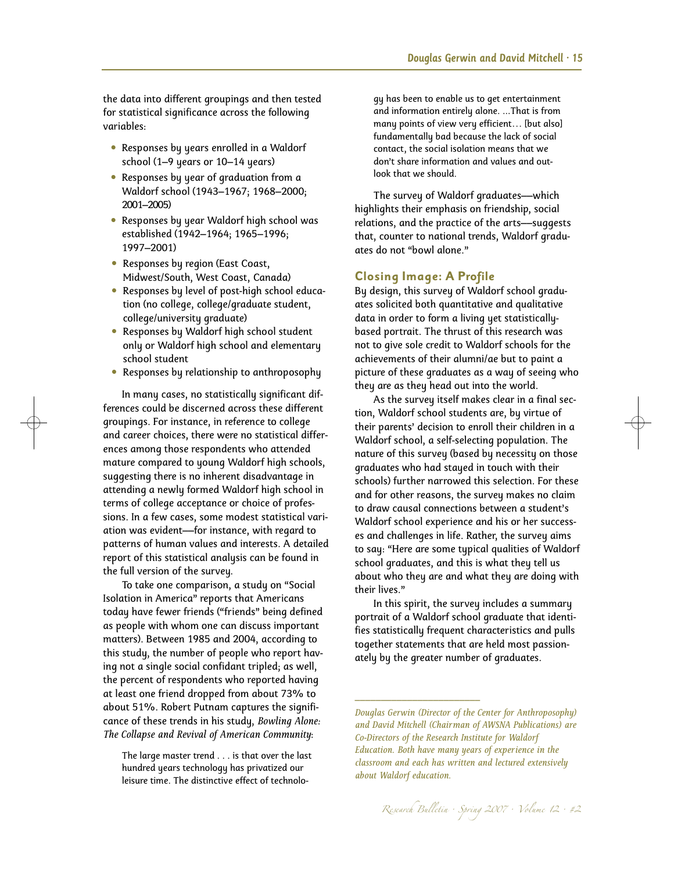the data into different groupings and then tested for statistical significance across the following variables:

- Responses by years enrolled in a Waldorf school (1–9 years or 10–14 years)
- Responses by year of graduation from a Waldorf school (1943–1967; 1968–2000; 2001–2005)
- Responses by year Waldorf high school was established (1942–1964; 1965–1996; 1997–2001)
- Responses by region (East Coast, Midwest/South, West Coast, Canada)
- Responses by level of post-high school education (no college, college/graduate student, college/university graduate)
- Responses by Waldorf high school student only or Waldorf high school and elementary school student
- Responses by relationship to anthroposophy

In many cases, no statistically significant differences could be discerned across these different groupings. For instance, in reference to college and career choices, there were no statistical differences among those respondents who attended mature compared to young Waldorf high schools, suggesting there is no inherent disadvantage in attending a newly formed Waldorf high school in terms of college acceptance or choice of professions. In a few cases, some modest statistical variation was evident––for instance, with regard to patterns of human values and interests. A detailed report of this statistical analysis can be found in the full version of the survey.

To take one comparison, a study on "Social Isolation in America" reports that Americans today have fewer friends ("friends" being defined as people with whom one can discuss important matters). Between 1985 and 2004, according to this study, the number of people who report having not a single social confidant tripled; as well, the percent of respondents who reported having at least one friend dropped from about 73% to about 51%. Robert Putnam captures the significance of these trends in his study, *Bowling Alone: The Collapse and Revival of American Community*:

The large master trend . . . is that over the last hundred years technology has privatized our leisure time. The distinctive effect of technology has been to enable us to get entertainment and information entirely alone. ...That is from many points of view very efficient… [but also] fundamentally bad because the lack of social contact, the social isolation means that we don't share information and values and outlook that we should.

The survey of Waldorf graduates––which highlights their emphasis on friendship, social relations, and the practice of the arts––suggests that, counter to national trends, Waldorf graduates do not "bowl alone."

#### **Closing Image: A Profile**

By design, this survey of Waldorf school graduates solicited both quantitative and qualitative data in order to form a living yet statisticallybased portrait. The thrust of this research was not to give sole credit to Waldorf schools for the achievements of their alumni/ae but to paint a picture of these graduates as a way of seeing who they are as they head out into the world.

As the survey itself makes clear in a final section, Waldorf school students are, by virtue of their parents' decision to enroll their children in a Waldorf school, a self-selecting population. The nature of this survey (based by necessity on those graduates who had stayed in touch with their schools) further narrowed this selection. For these and for other reasons, the survey makes no claim to draw causal connections between a student's Waldorf school experience and his or her successes and challenges in life. Rather, the survey aims to say: "Here are some typical qualities of Waldorf school graduates, and this is what they tell us about who they are and what they are doing with their lives."

In this spirit, the survey includes a summary portrait of a Waldorf school graduate that identifies statistically frequent characteristics and pulls together statements that are held most passionately by the greater number of graduates.

––––––––––––––––––––––––

*Douglas Gerwin (Director of the Center for Anthroposophy) and David Mitchell (Chairman of AWSNA Publications) are Co-Directors of the Research Institute for Waldorf Education. Both have many years of experience in the classroom and each has written and lectured extensively about Waldorf education.*